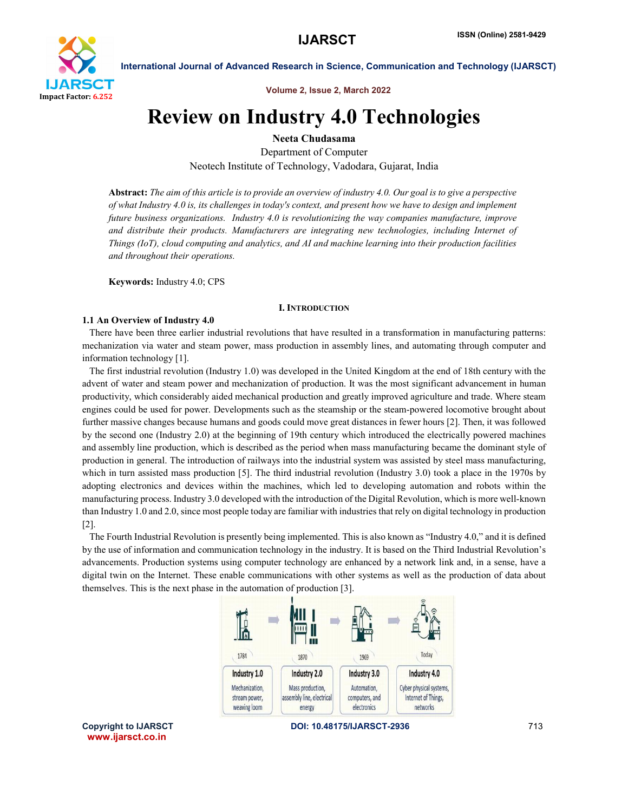

International Journal of Advanced Research in Science, Communication and Technology (IJARSCT)

Volume 2, Issue 2, March 2022

# Review on Industry 4.0 Technologies

Neeta Chudasama

Department of Computer Neotech Institute of Technology, Vadodara, Gujarat, India

Abstract: *The aim of this article is to provide an overview of industry 4.0. Our goal is to give a perspective of what Industry 4.0 is, its challenges in today's context, and present how we have to design and implement future business organizations. Industry 4.0 is revolutionizing the way companies manufacture, improve and distribute their products. Manufacturers are integrating new technologies, including Internet of Things (IoT), cloud computing and analytics, and AI and machine learning into their production facilities and throughout their operations.*

Keywords: Industry 4.0; CPS

# I. INTRODUCTION

# 1.1 An Overview of Industry 4.0

 There have been three earlier industrial revolutions that have resulted in a transformation in manufacturing patterns: mechanization via water and steam power, mass production in assembly lines, and automating through computer and information technology [1].

 The first industrial revolution (Industry 1.0) was developed in the United Kingdom at the end of 18th century with the advent of water and steam power and mechanization of production. It was the most significant advancement in human productivity, which considerably aided mechanical production and greatly improved agriculture and trade. Where steam engines could be used for power. Developments such as the steamship or the steam-powered locomotive brought about further massive changes because humans and goods could move great distances in fewer hours [2]. Then, it was followed by the second one (Industry 2.0) at the beginning of 19th century which introduced the electrically powered machines and assembly line production, which is described as the period when mass manufacturing became the dominant style of production in general. The introduction of railways into the industrial system was assisted by steel mass manufacturing, which in turn assisted mass production [5]. The third industrial revolution (Industry 3.0) took a place in the 1970s by adopting electronics and devices within the machines, which led to developing automation and robots within the manufacturing process. Industry 3.0 developed with the introduction of the Digital Revolution, which is more well-known than Industry 1.0 and 2.0, since most people today are familiar with industries that rely on digital technology in production [2].

 The Fourth Industrial Revolution is presently being implemented. This is also known as "Industry 4.0," and it is defined by the use of information and communication technology in the industry. It is based on the Third Industrial Revolution's advancements. Production systems using computer technology are enhanced by a network link and, in a sense, have a digital twin on the Internet. These enable communications with other systems as well as the production of data about themselves. This is the next phase in the automation of production [3].



www.ijarsct.co.in

Copyright to IJARSCT **DOI: 10.48175/IJARSCT-2936** 713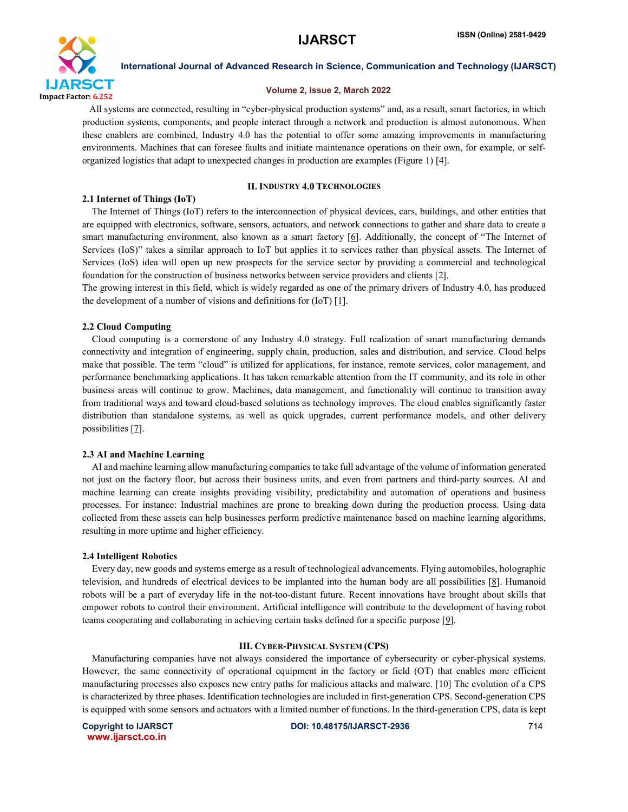

International Journal of Advanced Research in Science, Communication and Technology (IJARSCT)

# Volume 2, Issue 2, March 2022

 All systems are connected, resulting in "cyber-physical production systems" and, as a result, smart factories, in which production systems, components, and people interact through a network and production is almost autonomous. When these enablers are combined, Industry 4.0 has the potential to offer some amazing improvements in manufacturing environments. Machines that can foresee faults and initiate maintenance operations on their own, for example, or selforganized logistics that adapt to unexpected changes in production are examples (Figure 1) [4].

# II. INDUSTRY 4.0 TECHNOLOGIES

### 2.1 Internet of Things (IoT)

 The Internet of Things (IoT) refers to the interconnection of physical devices, cars, buildings, and other entities that are equipped with electronics, software, sensors, actuators, and network connections to gather and share data to create a smart manufacturing environment, also known as a smart factory [6]. Additionally, the concept of "The Internet of Services (IoS)" takes a similar approach to IoT but applies it to services rather than physical assets. The Internet of Services (IoS) idea will open up new prospects for the service sector by providing a commercial and technological foundation for the construction of business networks between service providers and clients [2].

The growing interest in this field, which is widely regarded as one of the primary drivers of Industry 4.0, has produced the development of a number of visions and definitions for (IoT) [1].

#### 2.2 Cloud Computing

 Cloud computing is a cornerstone of any Industry 4.0 strategy. Full realization of smart manufacturing demands connectivity and integration of engineering, supply chain, production, sales and distribution, and service. Cloud helps make that possible. The term "cloud" is utilized for applications, for instance, remote services, color management, and performance benchmarking applications. It has taken remarkable attention from the IT community, and its role in other business areas will continue to grow. Machines, data management, and functionality will continue to transition away from traditional ways and toward cloud-based solutions as technology improves. The cloud enables significantly faster distribution than standalone systems, as well as quick upgrades, current performance models, and other delivery possibilities [7].

#### 2.3 AI and Machine Learning

 AI and machine learning allow manufacturing companies to take full advantage of the volume of information generated not just on the factory floor, but across their business units, and even from partners and third-party sources. AI and machine learning can create insights providing visibility, predictability and automation of operations and business processes. For instance: Industrial machines are prone to breaking down during the production process. Using data collected from these assets can help businesses perform predictive maintenance based on machine learning algorithms, resulting in more uptime and higher efficiency.

#### 2.4 Intelligent Robotics

 Every day, new goods and systems emerge as a result of technological advancements. Flying automobiles, holographic television, and hundreds of electrical devices to be implanted into the human body are all possibilities [8]. Humanoid robots will be a part of everyday life in the not-too-distant future. Recent innovations have brought about skills that empower robots to control their environment. Artificial intelligence will contribute to the development of having robot teams cooperating and collaborating in achieving certain tasks defined for a specific purpose [9].

#### III. CYBER-PHYSICAL SYSTEM (CPS)

 Manufacturing companies have not always considered the importance of cybersecurity or cyber-physical systems. However, the same connectivity of operational equipment in the factory or field (OT) that enables more efficient manufacturing processes also exposes new entry paths for malicious attacks and malware. [10] The evolution of a CPS is characterized by three phases. Identification technologies are included in first-generation CPS. Second-generation CPS is equipped with some sensors and actuators with a limited number of functions. In the third-generation CPS, data is kept

www.ijarsct.co.in

Copyright to IJARSCT DOI: 10.48175/IJARSCT-2936 714